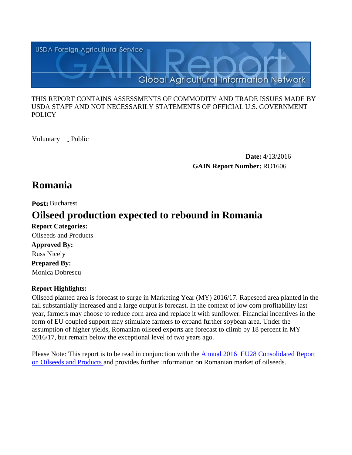

#### THIS REPORT CONTAINS ASSESSMENTS OF COMMODITY AND TRADE ISSUES MADE BY USDA STAFF AND NOT NECESSARILY STATEMENTS OF OFFICIAL U.S. GOVERNMENT **POLICY**

Voluntary \_ Public

**Date:** 4/13/2016 **GAIN Report Number:** RO1606

## **Romania**

**Post:** Bucharest

# **Oilseed production expected to rebound in Romania**

**Report Categories: Approved By: Prepared By:**  Monica Dobrescu Russ Nicely Oilseeds and Products

## **Report Highlights:**

Oilseed planted area is forecast to surge in Marketing Year (MY) 2016/17. Rapeseed area planted in the fall substantially increased and a large output is forecast. In the context of low corn profitability last year, farmers may choose to reduce corn area and replace it with sunflower. Financial incentives in the form of EU coupled support may stimulate farmers to expand further soybean area. Under the assumption of higher yields, Romanian oilseed exports are forecast to climb by 18 percent in MY 2016/17, but remain below the exceptional level of two years ago.

Please Note: This report is to be read in conjunction with the [Annual 2016 EU28 Consolidated Report](http://gain.fas.usda.gov/Recent%20GAIN%20Publications/Oilseeds%20and%20Products%20Annual_Vienna_EU-28_4-1-2016.pdf)  [on Oilseeds and Products a](http://gain.fas.usda.gov/Recent%20GAIN%20Publications/Oilseeds%20and%20Products%20Annual_Vienna_EU-28_4-1-2016.pdf)nd provides further information on Romanian market of oilseeds.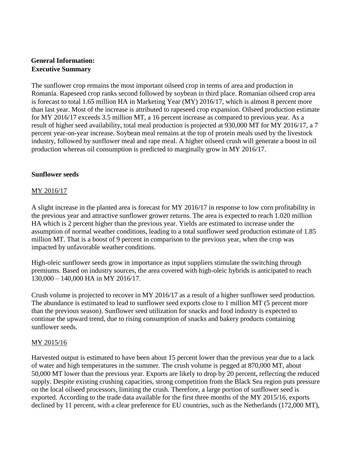## **General Information: Executive Summary**

The sunflower crop remains the most important oilseed crop in terms of area and production in Romania. Rapeseed crop ranks second followed by soybean in third place. Romanian oilseed crop area is forecast to total 1.65 million HA in Marketing Year (MY) 2016/17, which is almost 8 percent more than last year. Most of the increase is attributed to rapeseed crop expansion. Oilseed production estimate for MY 2016/17 exceeds 3.5 million MT, a 16 percent increase as compared to previous year. As a result of higher seed availability, total meal production is projected at 930,000 MT for MY 2016/17, a 7 percent year-on-year increase. Soybean meal remains at the top of protein meals used by the livestock industry, followed by sunflower meal and rape meal. A higher oilseed crush will generate a boost in oil production whereas oil consumption is predicted to marginally grow in MY 2016/17.

#### **Sunflower seeds**

#### MY 2016/17

A slight increase in the planted area is forecast for MY 2016/17 in response to low corn profitability in the previous year and attractive sunflower grower returns. The area is expected to reach 1.020 million HA which is 2 percent higher than the previous year. Yields are estimated to increase under the assumption of normal weather conditions, leading to a total sunflower seed production estimate of 1.85 million MT. That is a boost of 9 percent in comparison to the previous year, when the crop was impacted by unfavorable weather conditions.

High-oleic sunflower seeds grow in importance as input suppliers stimulate the switching through premiums. Based on industry sources, the area covered with high-oleic hybrids is anticipated to reach 130,000 – 140,000 HA in MY 2016/17.

Crush volume is projected to recover in MY 2016/17 as a result of a higher sunflower seed production. The abundance is estimated to lead to sunflower seed exports close to 1 million MT (5 percent more than the previous season). Sunflower seed utilization for snacks and food industry is expected to continue the upward trend, due to rising consumption of snacks and bakery products containing sunflower seeds.

#### MY 2015/16

Harvested output is estimated to have been about 15 percent lower than the previous year due to a lack of water and high temperatures in the summer. The crush volume is pegged at 870,000 MT, about 50,000 MT lower than the previous year. Exports are likely to drop by 20 percent, reflecting the reduced supply. Despite existing crushing capacities, strong competition from the Black Sea region puts pressure on the local oilseed processors, limiting the crush. Therefore, a large portion of sunflower seed is exported. According to the trade data available for the first three months of the MY 2015/16, exports declined by 11 percent, with a clear preference for EU countries, such as the Netherlands (172,000 MT),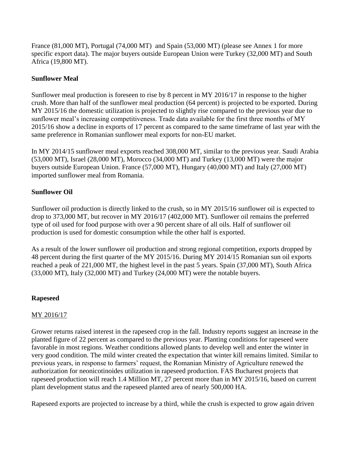France (81,000 MT), Portugal (74,000 MT) and Spain (53,000 MT) (please see Annex 1 for more specific export data). The major buyers outside European Union were Turkey (32,000 MT) and South Africa (19,800 MT).

## **Sunflower Meal**

Sunflower meal production is foreseen to rise by 8 percent in MY 2016/17 in response to the higher crush. More than half of the sunflower meal production (64 percent) is projected to be exported. During MY 2015/16 the domestic utilization is projected to slightly rise compared to the previous year due to sunflower meal's increasing competitiveness. Trade data available for the first three months of MY 2015/16 show a decline in exports of 17 percent as compared to the same timeframe of last year with the same preference in Romanian sunflower meal exports for non-EU market.

In MY 2014/15 sunflower meal exports reached 308,000 MT, similar to the previous year. Saudi Arabia (53,000 MT), Israel (28,000 MT), Morocco (34,000 MT) and Turkey (13,000 MT) were the major buyers outside European Union. France (57,000 MT), Hungary (40,000 MT) and Italy (27,000 MT) imported sunflower meal from Romania.

## **Sunflower Oil**

Sunflower oil production is directly linked to the crush, so in MY 2015/16 sunflower oil is expected to drop to 373,000 MT, but recover in MY 2016/17 (402,000 MT). Sunflower oil remains the preferred type of oil used for food purpose with over a 90 percent share of all oils. Half of sunflower oil production is used for domestic consumption while the other half is exported.

As a result of the lower sunflower oil production and strong regional competition, exports dropped by 48 percent during the first quarter of the MY 2015/16. During MY 2014/15 Romanian sun oil exports reached a peak of 221,000 MT, the highest level in the past 5 years. Spain (37,000 MT), South Africa (33,000 MT), Italy (32,000 MT) and Turkey (24,000 MT) were the notable buyers.

#### **Rapeseed**

## MY 2016/17

Grower returns raised interest in the rapeseed crop in the fall. Industry reports suggest an increase in the planted figure of 22 percent as compared to the previous year. Planting conditions for rapeseed were favorable in most regions. Weather conditions allowed plants to develop well and enter the winter in very good condition. The mild winter created the expectation that winter kill remains limited. Similar to previous years, in response to farmers' request, the Romanian Ministry of Agriculture renewed the authorization for neonicotinoides utilization in rapeseed production. FAS Bucharest projects that rapeseed production will reach 1.4 Million MT, 27 percent more than in MY 2015/16, based on current plant development status and the rapeseed planted area of nearly 500,000 HA.

Rapeseed exports are projected to increase by a third, while the crush is expected to grow again driven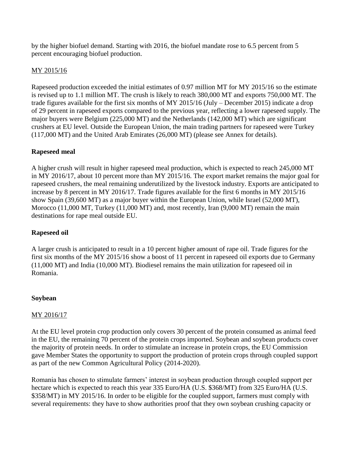by the higher biofuel demand. Starting with 2016, the biofuel mandate rose to 6.5 percent from 5 percent encouraging biofuel production.

### MY 2015/16

Rapeseed production exceeded the initial estimates of 0.97 million MT for MY 2015/16 so the estimate is revised up to 1.1 million MT. The crush is likely to reach 380,000 MT and exports 750,000 MT. The trade figures available for the first six months of MY 2015/16 (July – December 2015) indicate a drop of 29 percent in rapeseed exports compared to the previous year, reflecting a lower rapeseed supply. The major buyers were Belgium (225,000 MT) and the Netherlands (142,000 MT) which are significant crushers at EU level. Outside the European Union, the main trading partners for rapeseed were Turkey (117,000 MT) and the United Arab Emirates (26,000 MT) (please see Annex for details).

#### **Rapeseed meal**

A higher crush will result in higher rapeseed meal production, which is expected to reach 245,000 MT in MY 2016/17, about 10 percent more than MY 2015/16. The export market remains the major goal for rapeseed crushers, the meal remaining underutilized by the livestock industry. Exports are anticipated to increase by 8 percent in MY 2016/17. Trade figures available for the first 6 months in MY 2015/16 show Spain (39,600 MT) as a major buyer within the European Union, while Israel (52,000 MT), Morocco (11,000 MT, Turkey (11,000 MT) and, most recently, Iran (9,000 MT) remain the main destinations for rape meal outside EU.

## **Rapeseed oil**

A larger crush is anticipated to result in a 10 percent higher amount of rape oil. Trade figures for the first six months of the MY 2015/16 show a boost of 11 percent in rapeseed oil exports due to Germany (11,000 MT) and India (10,000 MT). Biodiesel remains the main utilization for rapeseed oil in Romania.

#### **Soybean**

#### MY 2016/17

At the EU level protein crop production only covers 30 percent of the protein consumed as animal feed in the EU, the remaining 70 percent of the protein crops imported. Soybean and soybean products cover the majority of protein needs. In order to stimulate an increase in protein crops, the EU Commission gave Member States the opportunity to support the production of protein crops through coupled support as part of the new Common Agricultural Policy (2014-2020).

Romania has chosen to stimulate farmers' interest in soybean production through coupled support per hectare which is expected to reach this year 335 Euro/HA (U.S. \$368/MT) from 325 Euro/HA (U.S. \$358/MT) in MY 2015/16. In order to be eligible for the coupled support, farmers must comply with several requirements: they have to show authorities proof that they own soybean crushing capacity or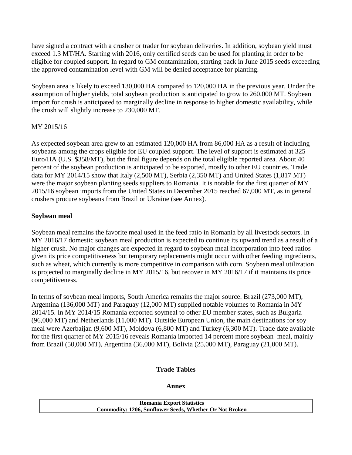have signed a contract with a crusher or trader for soybean deliveries. In addition, soybean yield must exceed 1.3 MT/HA. Starting with 2016, only certified seeds can be used for planting in order to be eligible for coupled support. In regard to GM contamination, starting back in June 2015 seeds exceeding the approved contamination level with GM will be denied acceptance for planting.

Soybean area is likely to exceed 130,000 HA compared to 120,000 HA in the previous year. Under the assumption of higher yields, total soybean production is anticipated to grow to 260,000 MT. Soybean import for crush is anticipated to marginally decline in response to higher domestic availability, while the crush will slightly increase to 230,000 MT.

## MY 2015/16

As expected soybean area grew to an estimated 120,000 HA from 86,000 HA as a result of including soybeans among the crops eligible for EU coupled support. The level of support is estimated at 325 Euro/HA (U.S. \$358/MT), but the final figure depends on the total eligible reported area. About 40 percent of the soybean production is anticipated to be exported, mostly to other EU countries. Trade data for MY 2014/15 show that Italy (2,500 MT), Serbia (2,350 MT) and United States (1,817 MT) were the major soybean planting seeds suppliers to Romania. It is notable for the first quarter of MY 2015/16 soybean imports from the United States in December 2015 reached 67,000 MT, as in general crushers procure soybeans from Brazil or Ukraine (see Annex).

## **Soybean meal**

Soybean meal remains the favorite meal used in the feed ratio in Romania by all livestock sectors. In MY 2016/17 domestic soybean meal production is expected to continue its upward trend as a result of a higher crush. No major changes are expected in regard to soybean meal incorporation into feed ratios given its price competitiveness but temporary replacements might occur with other feeding ingredients, such as wheat, which currently is more competitive in comparison with corn. Soybean meal utilization is projected to marginally decline in MY 2015/16, but recover in MY 2016/17 if it maintains its price competitiveness.

In terms of soybean meal imports, South America remains the major source. Brazil (273,000 MT), Argentina (136,000 MT) and Paraguay (12,000 MT) supplied notable volumes to Romania in MY 2014/15. In MY 2014/15 Romania exported soymeal to other EU member states, such as Bulgaria (96,000 MT) and Netherlands (11,000 MT). Outside European Union, the main destinations for soy meal were Azerbaijan (9,600 MT), Moldova (6,800 MT) and Turkey (6,300 MT). Trade date available for the first quarter of MY 2015/16 reveals Romania imported 14 percent more soybean meal, mainly from Brazil (50,000 MT), Argentina (36,000 MT), Bolivia (25,000 MT), Paraguay (21,000 MT).

## **Trade Tables**

#### **Annex**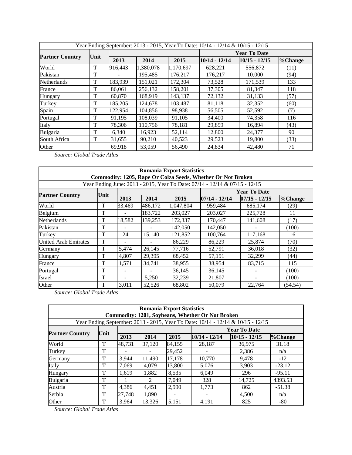| Year Ending September: 2013 - 2015, Year To Date: 10/14 - 12/14 & 10/15 - 12/15 |      |         |           |           |                     |                 |         |  |
|---------------------------------------------------------------------------------|------|---------|-----------|-----------|---------------------|-----------------|---------|--|
| <b>Partner Country</b>                                                          |      |         |           |           | <b>Year To Date</b> |                 |         |  |
|                                                                                 | Unit | 2013    | 2014      | 2015      | $10/14 - 12/14$     | $10/15 - 12/15$ | %Change |  |
| World                                                                           | T    | 916,443 | 1,380,078 | 1,170,697 | 628,221             | 556,872         | (11)    |  |
| Pakistan                                                                        | T    |         | 195,485   | 176,217   | 176,217             | 10,000          | (94)    |  |
| Netherlands                                                                     | T    | 183,939 | 151,021   | 172,304   | 73,528              | 171,539         | 133     |  |
| France                                                                          | T    | 86,061  | 256,132   | 158,201   | 37,305              | 81,347          | 118     |  |
| Hungary                                                                         | T    | 60,870  | 168,919   | 143,137   | 72,132              | 31,133          | (57)    |  |
| Turkey                                                                          | T    | 185,205 | 124,678   | 103,487   | 81,118              | 32,352          | (60)    |  |
| Spain                                                                           | T    | 122,954 | 104,856   | 98,938    | 56,505              | 52,592          | (7)     |  |
| Portugal                                                                        | T    | 91,195  | 108,039   | 91.105    | 34,400              | 74,358          | 116     |  |
| Italy                                                                           | T    | 78,306  | 110,756   | 78,181    | 29,859              | 16,894          | (43)    |  |
| <b>Bulgaria</b>                                                                 | T    | 6,340   | 16,923    | 52,114    | 12,800              | 24,377          | 90      |  |
| South Africa                                                                    | T    | 31,655  | 90,210    | 40,523    | 29,523              | 19,800          | (33)    |  |
| Other                                                                           |      | 69,918  | 53,059    | 56,490    | 24,834              | 42,480          | 71      |  |

 *Source: Global Trade Atlas* 

| <b>Romania Export Statistics</b><br>Commodity: 1205, Rape Or Colza Seeds, Whether Or Not Broken |      |        |         |           |                     |                 |         |  |  |
|-------------------------------------------------------------------------------------------------|------|--------|---------|-----------|---------------------|-----------------|---------|--|--|
| Year Ending June: 2013 - 2015, Year To Date: 07/14 - 12/14 & 07/15 - 12/15                      |      |        |         |           |                     |                 |         |  |  |
|                                                                                                 | Unit |        |         |           | <b>Year To Date</b> |                 |         |  |  |
| <b>Partner Country</b>                                                                          |      | 2013   | 2014    | 2015      | $07/14 - 12/14$     | $07/15 - 12/15$ | %Change |  |  |
| World                                                                                           | T    | 33,469 | 486,172 | 1,047,804 | 959,484             | 685,174         | (29)    |  |  |
| Belgium                                                                                         | T    |        | 183,722 | 203,027   | 203,027             | 225,728         | 11      |  |  |
| Netherlands                                                                                     | T    | 18,582 | 139,253 | 172,337   | 170,447             | 141,608         | (17)    |  |  |
| Pakistan                                                                                        | T    |        |         | 142,050   | 142,050             |                 | (100)   |  |  |
| Turkey                                                                                          | T    | 24     | 15,140  | 121,852   | 100,764             | 117,168         | 16      |  |  |
| <b>United Arab Emirates</b>                                                                     | T    |        |         | 86,229    | 86,229              | 25,874          | (70)    |  |  |
| Germany                                                                                         | T    | 5,474  | 26,145  | 77,716    | 52,791              | 36,018          | (32)    |  |  |
| Hungary                                                                                         | T    | 4,807  | 29,395  | 68,452    | 57,191              | 32,299          | (44)    |  |  |
| France                                                                                          | T    | 1,571  | 34,741  | 38,955    | 38,954              | 83,715          | 115     |  |  |
| Portugal                                                                                        | T    |        |         | 36,145    | 36,145              |                 | (100)   |  |  |
| Israel                                                                                          | T    |        | 5,250   | 32,239    | 21,807              |                 | (100)   |  |  |
| Other                                                                                           | T    | 3,011  | 52,526  | 68,802    | 50,079              | 22,764          | (54.54) |  |  |

 *Source: Global Trade Atlas* 

| <b>Romania Export Statistics</b>                                                |      |        |               |        |                          |                 |          |  |  |
|---------------------------------------------------------------------------------|------|--------|---------------|--------|--------------------------|-----------------|----------|--|--|
| Commodity: 1201, Soybeans, Whether Or Not Broken                                |      |        |               |        |                          |                 |          |  |  |
| Year Ending September: 2013 - 2015, Year To Date: 10/14 - 12/14 & 10/15 - 12/15 |      |        |               |        |                          |                 |          |  |  |
| <b>Partner Country</b>                                                          | Unit |        |               |        | <b>Year To Date</b>      |                 |          |  |  |
|                                                                                 |      | 2013   | 2014          | 2015   | $10/14 - 12/14$          | $10/15 - 12/15$ | %Change  |  |  |
| World                                                                           | T    | 48,731 | 37,120        | 84,155 | 28,187                   | 36,975          | 31.18    |  |  |
| Turkey                                                                          | T    |        |               | 29,452 |                          | 2,386           | n/a      |  |  |
| Germany                                                                         | T    | 3,944  | 11,490        | 17,178 | 10,770                   | 9,478           | $-12$    |  |  |
| Italy                                                                           | T    | 7.069  | 4.079         | 13,800 | 5,076                    | 3,903           | $-23.12$ |  |  |
| Hungary                                                                         | T    | 1,619  | 1,882         | 8,535  | 6,049                    | 296             | $-95.11$ |  |  |
| <b>Bulgaria</b>                                                                 | T    |        | $\mathcal{L}$ | 7.049  | 328                      | 14,725          | 4393.53  |  |  |
| Austria                                                                         | T    | 4,386  | 4,451         | 2,990  | 1,773                    | 862             | $-51.38$ |  |  |
| Serbia                                                                          | T    | 27,748 | 1,890         |        | $\overline{\phantom{0}}$ | 4,500           | n/a      |  |  |
| Other                                                                           | Т    | 3.964  | 13.326        | 5.151  | 4.191                    | 825             | -80      |  |  |

 *Source: Global Trade Atlas*